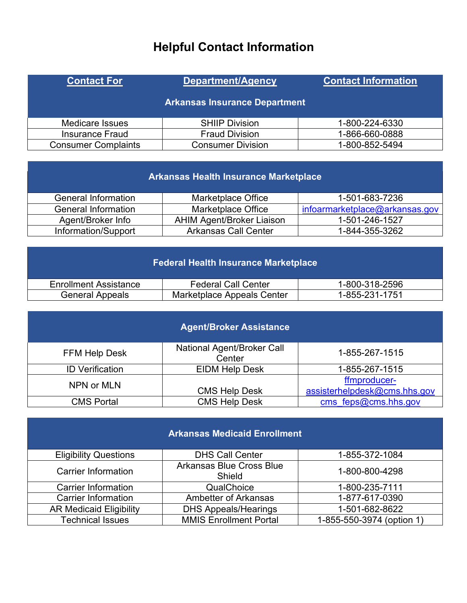## **Helpful Contact Information**

| <b>Contact For</b>         | <b>Department/Agency</b>             | <b>Contact Information</b> |
|----------------------------|--------------------------------------|----------------------------|
|                            | <b>Arkansas Insurance Department</b> |                            |
| <b>Medicare Issues</b>     | <b>SHIIP Division</b>                | 1-800-224-6330             |
| Insurance Fraud            | <b>Fraud Division</b>                | 1-866-660-0888             |
| <b>Consumer Complaints</b> | <b>Consumer Division</b>             | 1-800-852-5494             |

|  | <b>Arkansas Health Insurance Marketplace</b> |  |
|--|----------------------------------------------|--|
|  |                                              |  |

| General Information | Marketplace Office               | 1-501-683-7236                        |
|---------------------|----------------------------------|---------------------------------------|
| General Information | Marketplace Office               | <u>infoarmarketplace@arkansas.gov</u> |
| Agent/Broker Info   | <b>AHIM Agent/Broker Liaison</b> | 1-501-246-1527                        |
| Information/Support | Arkansas Call Center             | 1-844-355-3262                        |

|  | <b>Federal Health Insurance Marketplace</b> |  |
|--|---------------------------------------------|--|
|  |                                             |  |

| <b>Enrollment Assistance</b> | Federal Call Center        | 1-800-318-2596 |
|------------------------------|----------------------------|----------------|
| General Appeals              | Marketplace Appeals Center | 1-855-231-1751 |

| <b>Agent/Broker Assistance</b> |                                      |                                              |  |
|--------------------------------|--------------------------------------|----------------------------------------------|--|
| <b>FFM Help Desk</b>           | National Agent/Broker Call<br>Center | 1-855-267-1515                               |  |
| <b>ID Verification</b>         | <b>EIDM Help Desk</b>                | 1-855-267-1515                               |  |
| NPN or MLN                     | <b>CMS Help Desk</b>                 | ffmproducer-<br>assisterhelpdesk@cms.hhs.gov |  |
| <b>CMS Portal</b>              | <b>CMS Help Desk</b>                 | cms $feps@cms.hhs.gov$                       |  |

| <b>Arkansas Medicaid Enrollment</b> |                                           |                           |  |
|-------------------------------------|-------------------------------------------|---------------------------|--|
| <b>Eligibility Questions</b>        | <b>DHS Call Center</b>                    | 1-855-372-1084            |  |
| <b>Carrier Information</b>          | <b>Arkansas Blue Cross Blue</b><br>Shield | 1-800-800-4298            |  |
| <b>Carrier Information</b>          | QualChoice                                | 1-800-235-7111            |  |
| <b>Carrier Information</b>          | <b>Ambetter of Arkansas</b>               | 1-877-617-0390            |  |
| <b>AR Medicaid Eligibility</b>      | <b>DHS Appeals/Hearings</b>               | 1-501-682-8622            |  |
| <b>Technical Issues</b>             | <b>MMIS Enrollment Portal</b>             | 1-855-550-3974 (option 1) |  |